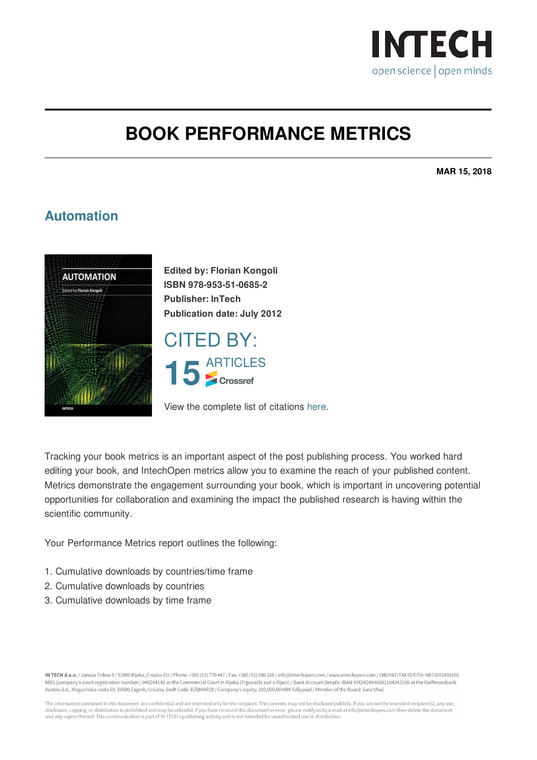

## **BOOK PERFORMANCE METRICS**

**MAR 15, 2018**

## **Automation**



**Edited by: Florian Kongoli ISBN 978-953-51-0685-2 Publisher: InTech Publication date: July 2012**

CITED BY: 15<br> **15**<br> *P* Crossref

View the complete list of citations [here](https://www.intechopen.com/books/citations/automation).

Tracking your book metrics is an important aspect of the post publishing process. You worked hard editing your book, and IntechOpen metrics allow you to examine the reach of your published content. Metrics demonstrate the engagement surrounding your book, which is important in uncovering potential opportunities for collaboration and examining the impact the published research is having within the scientific community.

Your Performance Metrics report outlines the following:

- 1. Cumulative downloads by countries/time frame
- 2. Cumulative downloads by countries
- 3. Cumulative downloads by time frame

IN TECH d.o.o. / Janeza Trdine 9 / 51000 Rijeka. Croatia-EU / Phone: +385 (51) 770 447 / Fax: +385 (51) 686 166 / info@intechopen.com / www.intechopen.com / OIB/VAT/TAX ID/EIT#: HR71692491655 MBS (company's court registration number): 040244148 at the Commercial Court in Rijeka (Trgovački sud u Rijeci) / Bank Account Details: IBAN: HR2424840081104542506 at the Raiffeisenbank Austria d.d., Magazinska cesta 69, 10000 Zagreb, Croatia; Swift Code: RZBHHR2X / Company's equity: 102,000,00 HRK fully paid / Member of the Board: Sara Uhač

The information contained in this document are confidential and are intended only for the recipient. The contents may not be disclosed publicly. If you are not the intended recipient(s), any use,<br>disclosure, copying, or di and any copies thereof. This communication is part of IN TECH's publishing activity and is not intended for unauthorized use or distribution.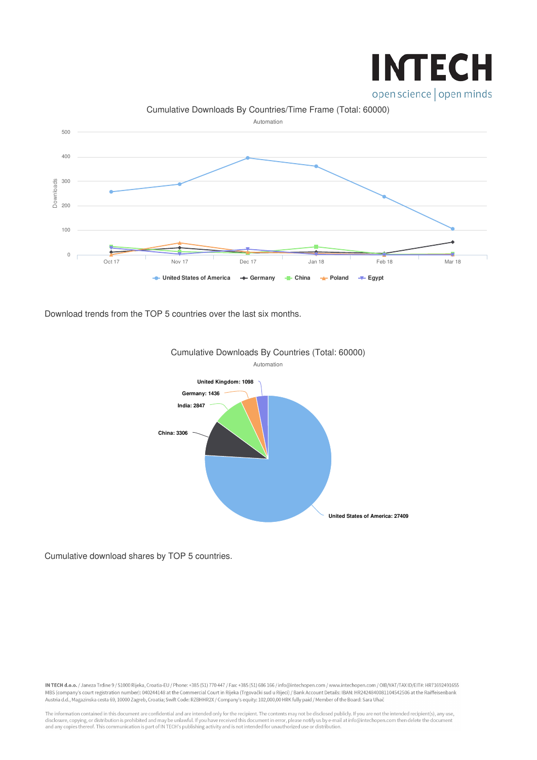

## Downloads Cumulative Downloads By Countries/Time Frame (Total: 60000) Automation **← United States of America** → Germany ← China ← Poland ← Egypt Oct 17 Nov 17 Dec 17 Jan 18 Feb 18 Mar 18  $\Omega$ 100 200 300 400 500

Download trends from the TOP 5 countries over the last six months.



Cumulative Downloads By Countries (Total: 60000)

Cumulative download shares by TOP 5 countries.

IN TECH d.o.o. / Janeza Trdine 9 / 51000 Rijeka, Croatia-EU / Phone: +385 (51) 770 447 / Fax: +385 (51) 686 166 / info@intechopen.com / www.intechopen.com / OIB/VAT/TAX ID/EIT#: HR71692491655 MBS (company's court registration number): 040244148 at the Commercial Court in Rijeka (Trgovački sud u Rijeci) / Bank Account Details: IBAN: HR2424840081104542506 at the Raiffeisenbank Austria d.d., Magazinska cesta 69, 10000 Zagreb, Croatia; Swift Code: RZBHHR2X / Company's equity: 102,000,00 HRK fully paid / Member of the Board: Sara Uhač

The information contained in this document are confidential and are intended only for the recipient. The contents may not be disclosed publicly. If you are not the intended recipient(s), any use, disclosure, copying, or di